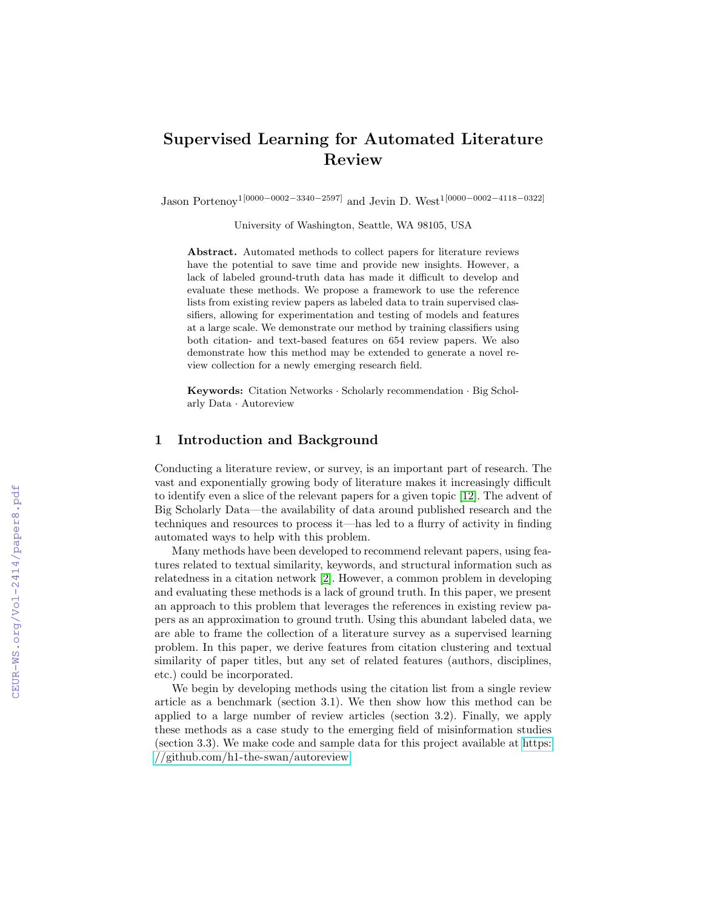# Supervised Learning for Automated Literature Review

Jason Portenoy1[0000−0002−3340−2597] and Jevin D. West1[0000−0002−4118−0322]

University of Washington, Seattle, WA 98105, USA

Abstract. Automated methods to collect papers for literature reviews have the potential to save time and provide new insights. However, a lack of labeled ground-truth data has made it difficult to develop and evaluate these methods. We propose a framework to use the reference lists from existing review papers as labeled data to train supervised classifiers, allowing for experimentation and testing of models and features at a large scale. We demonstrate our method by training classifiers using both citation- and text-based features on 654 review papers. We also demonstrate how this method may be extended to generate a novel review collection for a newly emerging research field.

Keywords: Citation Networks · Scholarly recommendation · Big Scholarly Data · Autoreview

### 1 Introduction and Background

Conducting a literature review, or survey, is an important part of research. The vast and exponentially growing body of literature makes it increasingly difficult to identify even a slice of the relevant papers for a given topic [\[12\]](#page--1-0). The advent of Big Scholarly Data—the availability of data around published research and the techniques and resources to process it—has led to a flurry of activity in finding automated ways to help with this problem.

Many methods have been developed to recommend relevant papers, using features related to textual similarity, keywords, and structural information such as relatedness in a citation network [\[2\]](#page--1-1). However, a common problem in developing and evaluating these methods is a lack of ground truth. In this paper, we present an approach to this problem that leverages the references in existing review papers as an approximation to ground truth. Using this abundant labeled data, we are able to frame the collection of a literature survey as a supervised learning problem. In this paper, we derive features from citation clustering and textual similarity of paper titles, but any set of related features (authors, disciplines, etc.) could be incorporated.

We begin by developing methods using the citation list from a single review article as a benchmark (section 3.1). We then show how this method can be applied to a large number of review articles (section 3.2). Finally, we apply these methods as a case study to the emerging field of misinformation studies (section 3.3). We make code and sample data for this project available at [https:](https://github.com/h1-the-swan/autoreview) [//github.com/h1-the-swan/autoreview.](https://github.com/h1-the-swan/autoreview)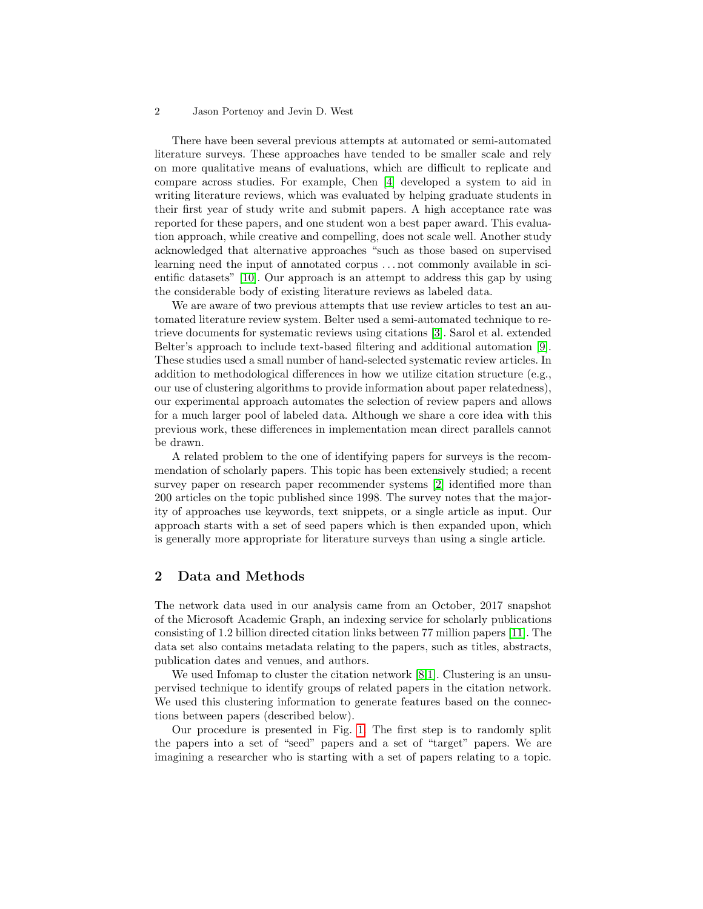#### 2 Jason Portenoy and Jevin D. West

There have been several previous attempts at automated or semi-automated literature surveys. These approaches have tended to be smaller scale and rely on more qualitative means of evaluations, which are difficult to replicate and compare across studies. For example, Chen [\[4\]](#page-6-0) developed a system to aid in writing literature reviews, which was evaluated by helping graduate students in their first year of study write and submit papers. A high acceptance rate was reported for these papers, and one student won a best paper award. This evaluation approach, while creative and compelling, does not scale well. Another study acknowledged that alternative approaches "such as those based on supervised learning need the input of annotated corpus . . . not commonly available in scientific datasets" [\[10\]](#page-6-1). Our approach is an attempt to address this gap by using the considerable body of existing literature reviews as labeled data.

We are aware of two previous attempts that use review articles to test an automated literature review system. Belter used a semi-automated technique to retrieve documents for systematic reviews using citations [\[3\]](#page-6-2). Sarol et al. extended Belter's approach to include text-based filtering and additional automation [\[9\]](#page-6-3). These studies used a small number of hand-selected systematic review articles. In addition to methodological differences in how we utilize citation structure (e.g., our use of clustering algorithms to provide information about paper relatedness), our experimental approach automates the selection of review papers and allows for a much larger pool of labeled data. Although we share a core idea with this previous work, these differences in implementation mean direct parallels cannot be drawn.

A related problem to the one of identifying papers for surveys is the recommendation of scholarly papers. This topic has been extensively studied; a recent survey paper on research paper recommender systems [\[2\]](#page-6-4) identified more than 200 articles on the topic published since 1998. The survey notes that the majority of approaches use keywords, text snippets, or a single article as input. Our approach starts with a set of seed papers which is then expanded upon, which is generally more appropriate for literature surveys than using a single article.

### 2 Data and Methods

The network data used in our analysis came from an October, 2017 snapshot of the Microsoft Academic Graph, an indexing service for scholarly publications consisting of 1.2 billion directed citation links between 77 million papers [\[11\]](#page-6-5). The data set also contains metadata relating to the papers, such as titles, abstracts, publication dates and venues, and authors.

We used Infomap to cluster the citation network [\[8,](#page-6-6)[1\]](#page-6-7). Clustering is an unsupervised technique to identify groups of related papers in the citation network. We used this clustering information to generate features based on the connections between papers (described below).

Our procedure is presented in Fig. [1.](#page-2-0) The first step is to randomly split the papers into a set of "seed" papers and a set of "target" papers. We are imagining a researcher who is starting with a set of papers relating to a topic.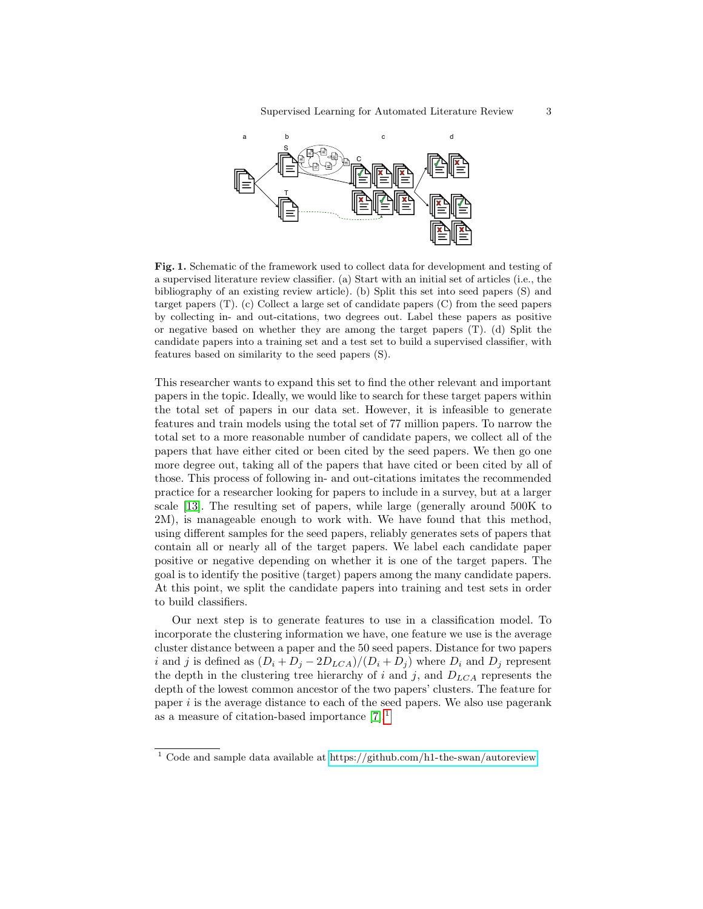

<span id="page-2-0"></span>Fig. 1. Schematic of the framework used to collect data for development and testing of a supervised literature review classifier. (a) Start with an initial set of articles (i.e., the bibliography of an existing review article). (b) Split this set into seed papers (S) and target papers (T). (c) Collect a large set of candidate papers (C) from the seed papers by collecting in- and out-citations, two degrees out. Label these papers as positive or negative based on whether they are among the target papers (T). (d) Split the candidate papers into a training set and a test set to build a supervised classifier, with features based on similarity to the seed papers (S).

This researcher wants to expand this set to find the other relevant and important papers in the topic. Ideally, we would like to search for these target papers within the total set of papers in our data set. However, it is infeasible to generate features and train models using the total set of 77 million papers. To narrow the total set to a more reasonable number of candidate papers, we collect all of the papers that have either cited or been cited by the seed papers. We then go one more degree out, taking all of the papers that have cited or been cited by all of those. This process of following in- and out-citations imitates the recommended practice for a researcher looking for papers to include in a survey, but at a larger scale [\[13\]](#page-6-8). The resulting set of papers, while large (generally around 500K to 2M), is manageable enough to work with. We have found that this method, using different samples for the seed papers, reliably generates sets of papers that contain all or nearly all of the target papers. We label each candidate paper positive or negative depending on whether it is one of the target papers. The goal is to identify the positive (target) papers among the many candidate papers. At this point, we split the candidate papers into training and test sets in order to build classifiers.

Our next step is to generate features to use in a classification model. To incorporate the clustering information we have, one feature we use is the average cluster distance between a paper and the 50 seed papers. Distance for two papers i and j is defined as  $(D_i + D_j - 2D_{LCA})/(D_i + D_j)$  where  $D_i$  and  $D_j$  represent the depth in the clustering tree hierarchy of i and j, and  $D_{LCA}$  represents the depth of the lowest common ancestor of the two papers' clusters. The feature for paper  $i$  is the average distance to each of the seed papers. We also use pagerank as a measure of citation-based importance  $[7].<sup>1</sup>$  $[7].<sup>1</sup>$  $[7].<sup>1</sup>$  $[7].<sup>1</sup>$ 

<span id="page-2-1"></span><sup>1</sup> Code and sample data available at<https://github.com/h1-the-swan/autoreview>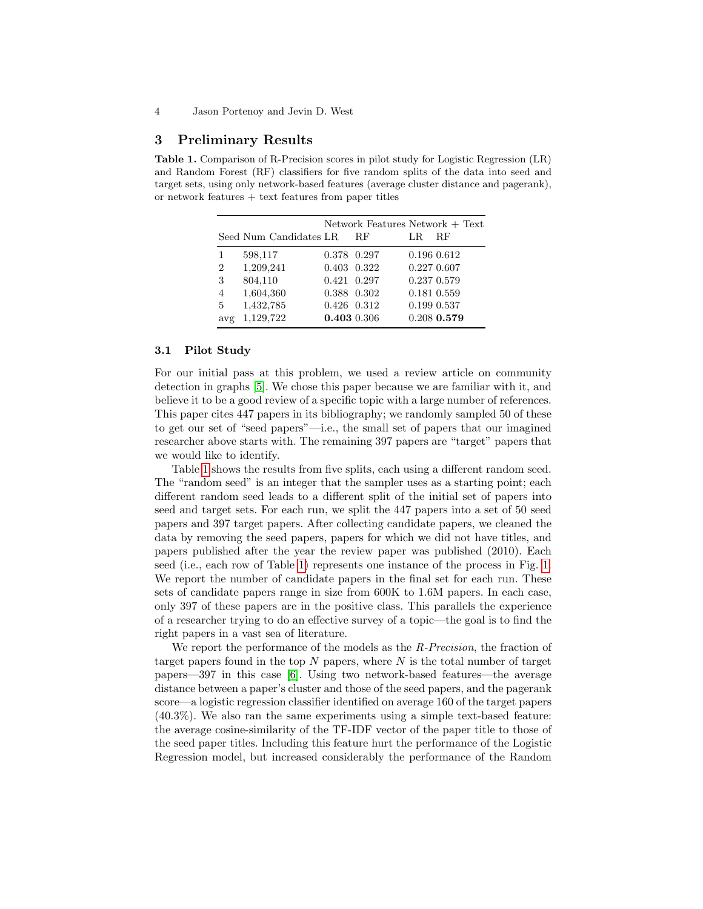### 3 Preliminary Results

<span id="page-3-0"></span>Table 1. Comparison of R-Precision scores in pilot study for Logistic Regression (LR) and Random Forest (RF) classifiers for five random splits of the data into seed and target sets, using only network-based features (average cluster distance and pagerank), or network features  $+$  text features from paper titles

|                | Seed Num Candidates LR |                            | Network Features Network + Text<br><b>RF</b> | LR. | <b>RF</b>                  |
|----------------|------------------------|----------------------------|----------------------------------------------|-----|----------------------------|
|                | 598,117                | 0.378 0.297                |                                              |     | 0.196 0.612                |
| $\overline{2}$ | 1,209,241              | 0.403 0.322                |                                              |     | 0.227 0.607                |
| 3<br>4         | 804,110<br>1,604,360   | 0.421 0.297<br>0.388 0.302 |                                              |     | 0.237 0.579<br>0.181 0.559 |
| 5              | 1,432,785              | 0.426 0.312                |                                              |     | 0.199 0.537                |
| avg            | 1,129,722              | 0.403 0.306                |                                              |     | $0.208$ 0.579              |

#### <span id="page-3-1"></span>3.1 Pilot Study

For our initial pass at this problem, we used a review article on community detection in graphs [\[5\]](#page-6-10). We chose this paper because we are familiar with it, and believe it to be a good review of a specific topic with a large number of references. This paper cites 447 papers in its bibliography; we randomly sampled 50 of these to get our set of "seed papers"—i.e., the small set of papers that our imagined researcher above starts with. The remaining 397 papers are "target" papers that we would like to identify.

Table [1](#page-3-0) shows the results from five splits, each using a different random seed. The "random seed" is an integer that the sampler uses as a starting point; each different random seed leads to a different split of the initial set of papers into seed and target sets. For each run, we split the 447 papers into a set of 50 seed papers and 397 target papers. After collecting candidate papers, we cleaned the data by removing the seed papers, papers for which we did not have titles, and papers published after the year the review paper was published (2010). Each seed (i.e., each row of Table [1\)](#page-3-0) represents one instance of the process in Fig. [1.](#page-2-0) We report the number of candidate papers in the final set for each run. These sets of candidate papers range in size from 600K to 1.6M papers. In each case, only 397 of these papers are in the positive class. This parallels the experience of a researcher trying to do an effective survey of a topic—the goal is to find the right papers in a vast sea of literature.

We report the performance of the models as the R-Precision, the fraction of target papers found in the top  $N$  papers, where  $N$  is the total number of target papers—397 in this case [\[6\]](#page-6-11). Using two network-based features—the average distance between a paper's cluster and those of the seed papers, and the pagerank score—a logistic regression classifier identified on average 160 of the target papers (40.3%). We also ran the same experiments using a simple text-based feature: the average cosine-similarity of the TF-IDF vector of the paper title to those of the seed paper titles. Including this feature hurt the performance of the Logistic Regression model, but increased considerably the performance of the Random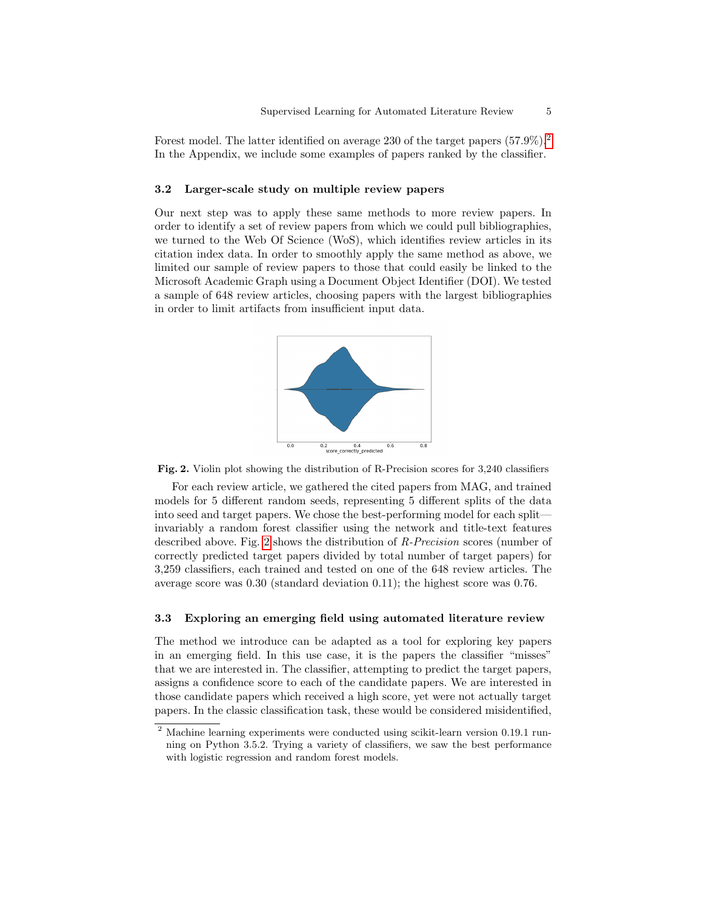Forest model. The latter identified on average [2](#page-4-0)30 of the target papers  $(57.9\%)$ .<sup>2</sup> In the Appendix, we include some examples of papers ranked by the classifier.

#### 3.2 Larger-scale study on multiple review papers

Our next step was to apply these same methods to more review papers. In order to identify a set of review papers from which we could pull bibliographies, we turned to the Web Of Science (WoS), which identifies review articles in its citation index data. In order to smoothly apply the same method as above, we limited our sample of review papers to those that could easily be linked to the Microsoft Academic Graph using a Document Object Identifier (DOI). We tested a sample of 648 review articles, choosing papers with the largest bibliographies in order to limit artifacts from insufficient input data.



<span id="page-4-1"></span>

For each review article, we gathered the cited papers from MAG, and trained models for 5 different random seeds, representing 5 different splits of the data into seed and target papers. We chose the best-performing model for each split invariably a random forest classifier using the network and title-text features described above. Fig. [2](#page-4-1) shows the distribution of R-Precision scores (number of correctly predicted target papers divided by total number of target papers) for 3,259 classifiers, each trained and tested on one of the 648 review articles. The average score was 0.30 (standard deviation 0.11); the highest score was 0.76.

#### 3.3 Exploring an emerging field using automated literature review

The method we introduce can be adapted as a tool for exploring key papers in an emerging field. In this use case, it is the papers the classifier "misses" that we are interested in. The classifier, attempting to predict the target papers, assigns a confidence score to each of the candidate papers. We are interested in those candidate papers which received a high score, yet were not actually target papers. In the classic classification task, these would be considered misidentified,

<span id="page-4-0"></span><sup>2</sup> Machine learning experiments were conducted using scikit-learn version 0.19.1 running on Python 3.5.2. Trying a variety of classifiers, we saw the best performance with logistic regression and random forest models.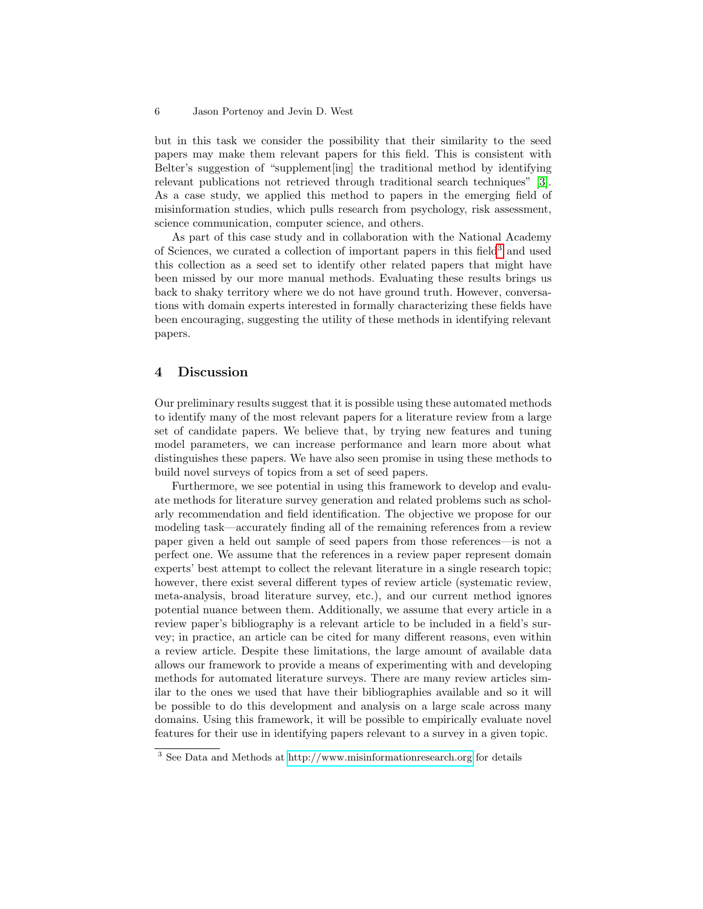but in this task we consider the possibility that their similarity to the seed papers may make them relevant papers for this field. This is consistent with Belter's suggestion of "supplement[ing] the traditional method by identifying relevant publications not retrieved through traditional search techniques" [\[3\]](#page-6-2). As a case study, we applied this method to papers in the emerging field of misinformation studies, which pulls research from psychology, risk assessment, science communication, computer science, and others.

As part of this case study and in collaboration with the National Academy of Sciences, we curated a collection of important papers in this field[3](#page-5-0) and used this collection as a seed set to identify other related papers that might have been missed by our more manual methods. Evaluating these results brings us back to shaky territory where we do not have ground truth. However, conversations with domain experts interested in formally characterizing these fields have been encouraging, suggesting the utility of these methods in identifying relevant papers.

### 4 Discussion

Our preliminary results suggest that it is possible using these automated methods to identify many of the most relevant papers for a literature review from a large set of candidate papers. We believe that, by trying new features and tuning model parameters, we can increase performance and learn more about what distinguishes these papers. We have also seen promise in using these methods to build novel surveys of topics from a set of seed papers.

Furthermore, we see potential in using this framework to develop and evaluate methods for literature survey generation and related problems such as scholarly recommendation and field identification. The objective we propose for our modeling task—accurately finding all of the remaining references from a review paper given a held out sample of seed papers from those references—is not a perfect one. We assume that the references in a review paper represent domain experts' best attempt to collect the relevant literature in a single research topic; however, there exist several different types of review article (systematic review, meta-analysis, broad literature survey, etc.), and our current method ignores potential nuance between them. Additionally, we assume that every article in a review paper's bibliography is a relevant article to be included in a field's survey; in practice, an article can be cited for many different reasons, even within a review article. Despite these limitations, the large amount of available data allows our framework to provide a means of experimenting with and developing methods for automated literature surveys. There are many review articles similar to the ones we used that have their bibliographies available and so it will be possible to do this development and analysis on a large scale across many domains. Using this framework, it will be possible to empirically evaluate novel features for their use in identifying papers relevant to a survey in a given topic.

<span id="page-5-0"></span><sup>3</sup> See Data and Methods at<http://www.misinformationresearch.org> for details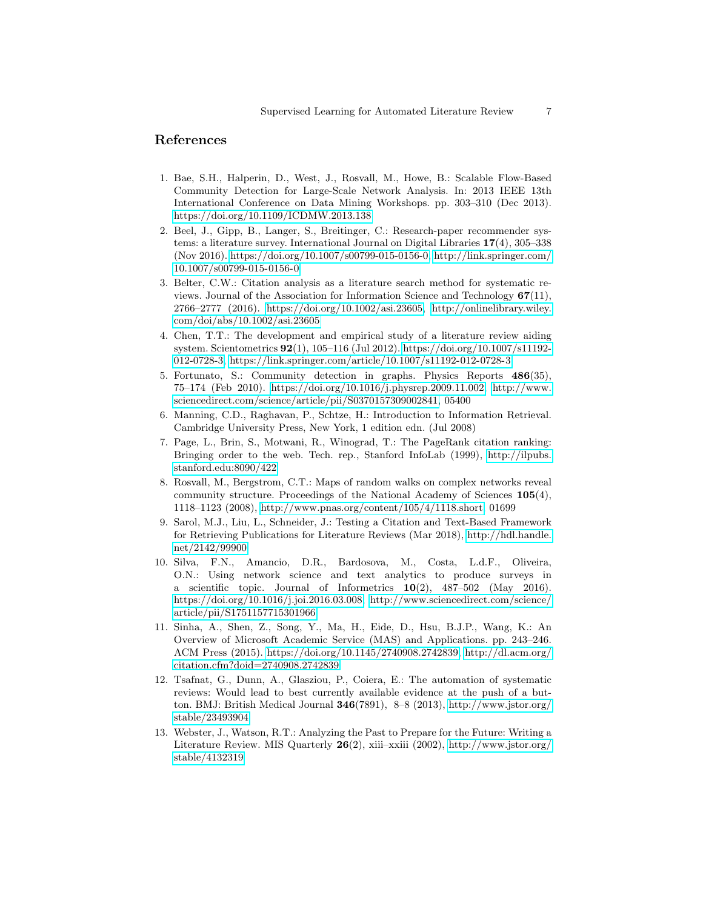### References

- <span id="page-6-7"></span>1. Bae, S.H., Halperin, D., West, J., Rosvall, M., Howe, B.: Scalable Flow-Based Community Detection for Large-Scale Network Analysis. In: 2013 IEEE 13th International Conference on Data Mining Workshops. pp. 303–310 (Dec 2013). <https://doi.org/10.1109/ICDMW.2013.138>
- <span id="page-6-4"></span>2. Beel, J., Gipp, B., Langer, S., Breitinger, C.: Research-paper recommender systems: a literature survey. International Journal on Digital Libraries 17(4), 305–338 (Nov 2016). [https://doi.org/10.1007/s00799-015-0156-0,](https://doi.org/10.1007/s00799-015-0156-0) [http://link.springer.com/](http://link.springer.com/10.1007/s00799-015-0156-0) [10.1007/s00799-015-0156-0](http://link.springer.com/10.1007/s00799-015-0156-0)
- <span id="page-6-2"></span>3. Belter, C.W.: Citation analysis as a literature search method for systematic reviews. Journal of the Association for Information Science and Technology 67(11), 2766–2777 (2016). [https://doi.org/10.1002/asi.23605,](https://doi.org/10.1002/asi.23605) [http://onlinelibrary.wiley.](http://onlinelibrary.wiley.com/doi/abs/10.1002/asi.23605) [com/doi/abs/10.1002/asi.23605](http://onlinelibrary.wiley.com/doi/abs/10.1002/asi.23605)
- <span id="page-6-0"></span>4. Chen, T.T.: The development and empirical study of a literature review aiding system. Scientometrics 92(1), 105–116 (Jul 2012). [https://doi.org/10.1007/s11192-](https://doi.org/10.1007/s11192-012-0728-3) [012-0728-3,](https://doi.org/10.1007/s11192-012-0728-3)<https://link.springer.com/article/10.1007/s11192-012-0728-3>
- <span id="page-6-10"></span>5. Fortunato, S.: Community detection in graphs. Physics Reports 486(35), 75–174 (Feb 2010). [https://doi.org/10.1016/j.physrep.2009.11.002,](https://doi.org/10.1016/j.physrep.2009.11.002) [http://www.](http://www.sciencedirect.com/science/article/pii/S0370157309002841) [sciencedirect.com/science/article/pii/S0370157309002841,](http://www.sciencedirect.com/science/article/pii/S0370157309002841) 05400
- <span id="page-6-11"></span>6. Manning, C.D., Raghavan, P., Schtze, H.: Introduction to Information Retrieval. Cambridge University Press, New York, 1 edition edn. (Jul 2008)
- <span id="page-6-9"></span>7. Page, L., Brin, S., Motwani, R., Winograd, T.: The PageRank citation ranking: Bringing order to the web. Tech. rep., Stanford InfoLab (1999), [http://ilpubs.](http://ilpubs.stanford.edu:8090/422) [stanford.edu:8090/422](http://ilpubs.stanford.edu:8090/422)
- <span id="page-6-6"></span>8. Rosvall, M., Bergstrom, C.T.: Maps of random walks on complex networks reveal community structure. Proceedings of the National Academy of Sciences 105(4), 1118–1123 (2008), [http://www.pnas.org/content/105/4/1118.short,](http://www.pnas.org/content/105/4/1118.short) 01699
- <span id="page-6-3"></span>9. Sarol, M.J., Liu, L., Schneider, J.: Testing a Citation and Text-Based Framework for Retrieving Publications for Literature Reviews (Mar 2018), [http://hdl.handle.](http://hdl.handle.net/2142/99900) [net/2142/99900](http://hdl.handle.net/2142/99900)
- <span id="page-6-1"></span>10. Silva, F.N., Amancio, D.R., Bardosova, M., Costa, L.d.F., Oliveira, O.N.: Using network science and text analytics to produce surveys in a scientific topic. Journal of Informetrics  $10(2)$ ,  $487-502$  (May 2016). [https://doi.org/10.1016/j.joi.2016.03.008,](https://doi.org/10.1016/j.joi.2016.03.008) [http://www.sciencedirect.com/science/](http://www.sciencedirect.com/science/article/pii/S1751157715301966) [article/pii/S1751157715301966](http://www.sciencedirect.com/science/article/pii/S1751157715301966)
- <span id="page-6-5"></span>11. Sinha, A., Shen, Z., Song, Y., Ma, H., Eide, D., Hsu, B.J.P., Wang, K.: An Overview of Microsoft Academic Service (MAS) and Applications. pp. 243–246. ACM Press (2015). [https://doi.org/10.1145/2740908.2742839,](https://doi.org/10.1145/2740908.2742839) [http://dl.acm.org/](http://dl.acm.org/citation.cfm?doid=2740908.2742839) [citation.cfm?doid=2740908.2742839](http://dl.acm.org/citation.cfm?doid=2740908.2742839)
- 12. Tsafnat, G., Dunn, A., Glasziou, P., Coiera, E.: The automation of systematic reviews: Would lead to best currently available evidence at the push of a button. BMJ: British Medical Journal 346(7891), 8–8 (2013), [http://www.jstor.org/](http://www.jstor.org/stable/23493904) [stable/23493904](http://www.jstor.org/stable/23493904)
- <span id="page-6-8"></span>13. Webster, J., Watson, R.T.: Analyzing the Past to Prepare for the Future: Writing a Literature Review. MIS Quarterly  $26(2)$ , xiii–xxiii (2002), [http://www.jstor.org/](http://www.jstor.org/stable/4132319) [stable/4132319](http://www.jstor.org/stable/4132319)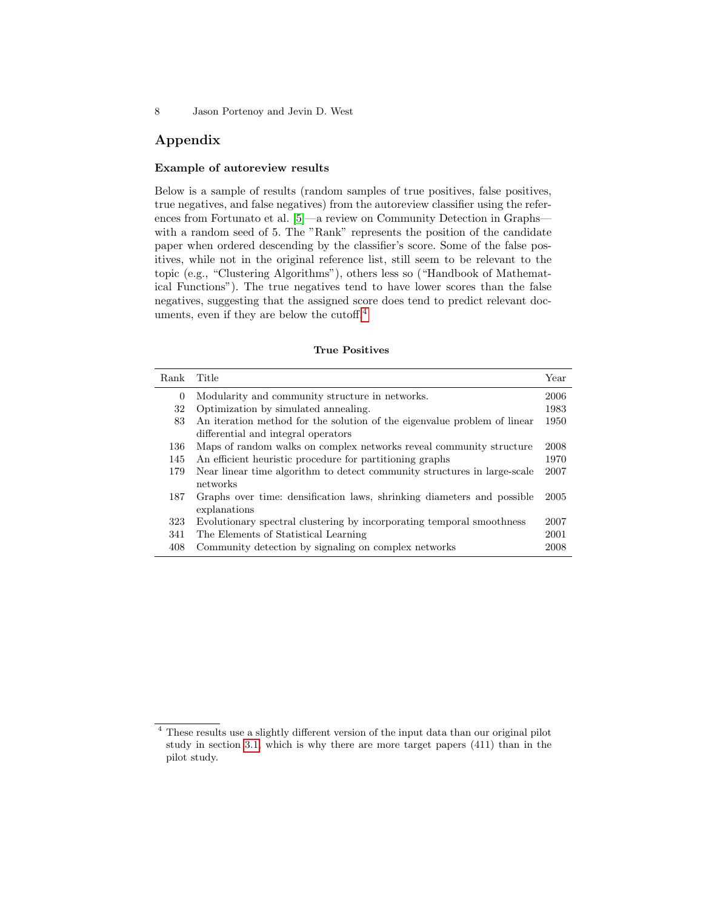### Appendix

#### Example of autoreview results

Below is a sample of results (random samples of true positives, false positives, true negatives, and false negatives) from the autoreview classifier using the refer-ences from Fortunato et al. [\[5\]](#page-6-10)—a review on Community Detection in Graphs with a random seed of 5. The "Rank" represents the position of the candidate paper when ordered descending by the classifier's score. Some of the false positives, while not in the original reference list, still seem to be relevant to the topic (e.g., "Clustering Algorithms"), others less so ("Handbook of Mathematical Functions"). The true negatives tend to have lower scores than the false negatives, suggesting that the assigned score does tend to predict relevant doc-uments, even if they are below the cutoff.<sup>[4](#page-7-0)</sup>

#### True Positives

| Rank     | Title                                                                    | Year |
|----------|--------------------------------------------------------------------------|------|
| $\theta$ | Modularity and community structure in networks.                          | 2006 |
| 32       | Optimization by simulated annealing.                                     | 1983 |
| 83       | An iteration method for the solution of the eigenvalue problem of linear | 1950 |
|          | differential and integral operators                                      |      |
| 136      | Maps of random walks on complex networks reveal community structure      | 2008 |
| 145      | An efficient heuristic procedure for partitioning graphs                 | 1970 |
| 179      | Near linear time algorithm to detect community structures in large-scale | 2007 |
|          | networks                                                                 |      |
| 187      | Graphs over time: densification laws, shrinking diameters and possible   | 2005 |
|          | explanations                                                             |      |
| 323      | Evolutionary spectral clustering by incorporating temporal smoothness    | 2007 |
| 341      | The Elements of Statistical Learning                                     | 2001 |
| 408      | Community detection by signaling on complex networks                     | 2008 |

<span id="page-7-0"></span><sup>4</sup> These results use a slightly different version of the input data than our original pilot study in section [3.1,](#page-3-1) which is why there are more target papers (411) than in the pilot study.